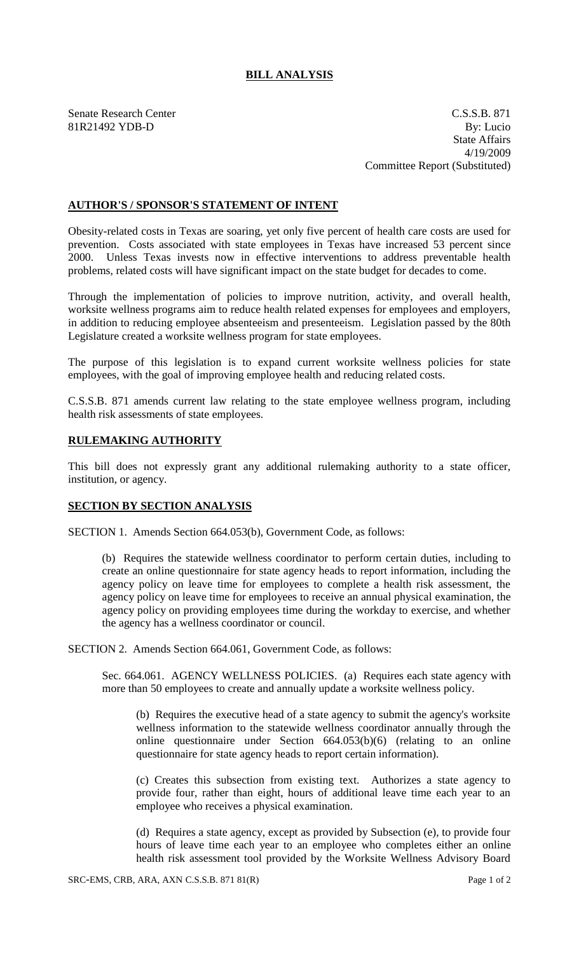## **BILL ANALYSIS**

Senate Research Center C.S.S.B. 871 81R21492 YDB-D By: Lucio State Affairs 4/19/2009 Committee Report (Substituted)

## **AUTHOR'S / SPONSOR'S STATEMENT OF INTENT**

Obesity-related costs in Texas are soaring, yet only five percent of health care costs are used for prevention. Costs associated with state employees in Texas have increased 53 percent since 2000. Unless Texas invests now in effective interventions to address preventable health problems, related costs will have significant impact on the state budget for decades to come.

Through the implementation of policies to improve nutrition, activity, and overall health, worksite wellness programs aim to reduce health related expenses for employees and employers, in addition to reducing employee absenteeism and presenteeism. Legislation passed by the 80th Legislature created a worksite wellness program for state employees.

The purpose of this legislation is to expand current worksite wellness policies for state employees, with the goal of improving employee health and reducing related costs.

C.S.S.B. 871 amends current law relating to the state employee wellness program, including health risk assessments of state employees.

## **RULEMAKING AUTHORITY**

This bill does not expressly grant any additional rulemaking authority to a state officer, institution, or agency.

## **SECTION BY SECTION ANALYSIS**

SECTION 1. Amends Section 664.053(b), Government Code, as follows:

(b) Requires the statewide wellness coordinator to perform certain duties, including to create an online questionnaire for state agency heads to report information, including the agency policy on leave time for employees to complete a health risk assessment, the agency policy on leave time for employees to receive an annual physical examination, the agency policy on providing employees time during the workday to exercise, and whether the agency has a wellness coordinator or council.

SECTION 2. Amends Section 664.061, Government Code, as follows:

Sec. 664.061. AGENCY WELLNESS POLICIES. (a) Requires each state agency with more than 50 employees to create and annually update a worksite wellness policy.

(b) Requires the executive head of a state agency to submit the agency's worksite wellness information to the statewide wellness coordinator annually through the online questionnaire under Section 664.053(b)(6) (relating to an online questionnaire for state agency heads to report certain information).

(c) Creates this subsection from existing text. Authorizes a state agency to provide four, rather than eight, hours of additional leave time each year to an employee who receives a physical examination.

(d) Requires a state agency, except as provided by Subsection (e), to provide four hours of leave time each year to an employee who completes either an online health risk assessment tool provided by the Worksite Wellness Advisory Board